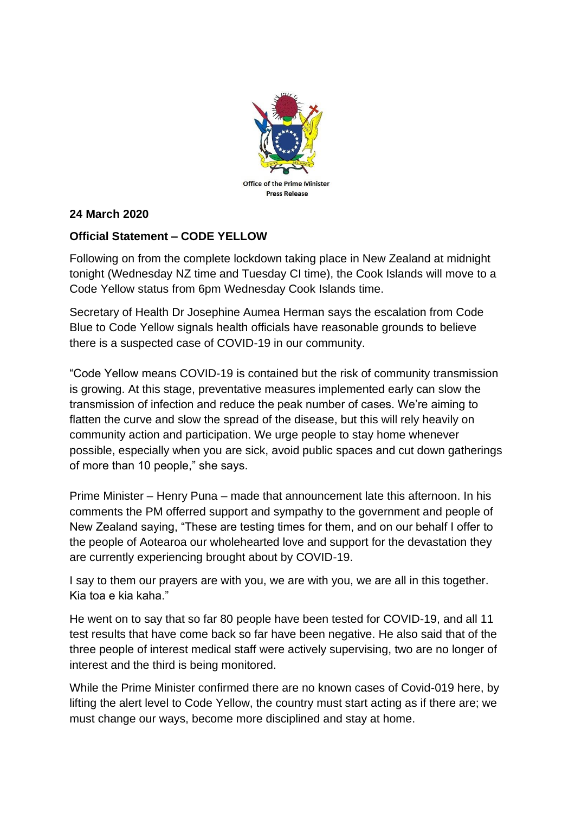

## **24 March 2020**

## **Official Statement – CODE YELLOW**

Following on from the complete lockdown taking place in New Zealand at midnight tonight (Wednesday NZ time and Tuesday CI time), the Cook Islands will move to a Code Yellow status from 6pm Wednesday Cook Islands time.

Secretary of Health Dr Josephine Aumea Herman says the escalation from Code Blue to Code Yellow signals health officials have reasonable grounds to believe there is a suspected case of COVID-19 in our community.

"Code Yellow means COVID-19 is contained but the risk of community transmission is growing. At this stage, preventative measures implemented early can slow the transmission of infection and reduce the peak number of cases. We're aiming to flatten the curve and slow the spread of the disease, but this will rely heavily on community action and participation. We urge people to stay home whenever possible, especially when you are sick, avoid public spaces and cut down gatherings of more than 10 people," she says.

Prime Minister – Henry Puna – made that announcement late this afternoon. In his comments the PM offerred support and sympathy to the government and people of New Zealand saying, "These are testing times for them, and on our behalf I offer to the people of Aotearoa our wholehearted love and support for the devastation they are currently experiencing brought about by COVID-19.

I say to them our prayers are with you, we are with you, we are all in this together. Kia toa e kia kaha."

He went on to say that so far 80 people have been tested for COVID-19, and all 11 test results that have come back so far have been negative. He also said that of the three people of interest medical staff were actively supervising, two are no longer of interest and the third is being monitored.

While the Prime Minister confirmed there are no known cases of Covid-019 here, by lifting the alert level to Code Yellow, the country must start acting as if there are; we must change our ways, become more disciplined and stay at home.